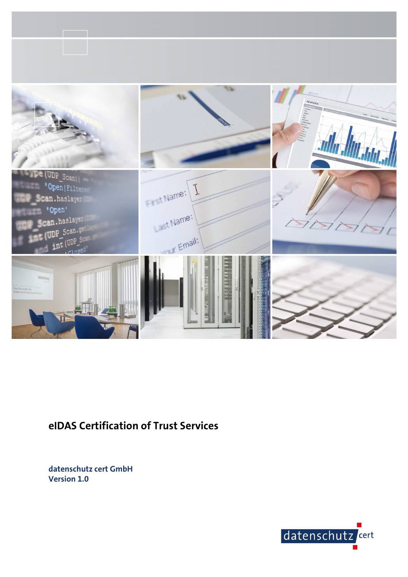

# **eIDAS Certification of Trust Services**

**datenschutz cert GmbH Version 1.0** 

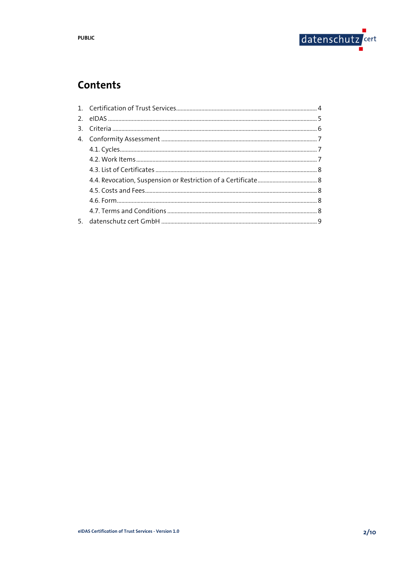

# **Contents**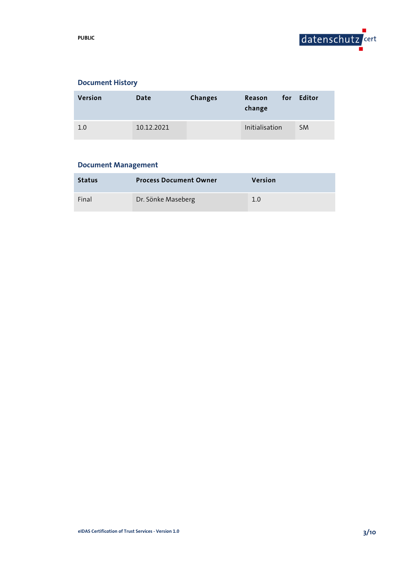

# **Document History**

| <b>Version</b> | Date       | <b>Changes</b> | Reason<br>change | for Editor |
|----------------|------------|----------------|------------------|------------|
| 1.0            | 10.12.2021 |                | Initialisation   | <b>SM</b>  |

# **Document Management**

| <b>Status</b> | <b>Process Document Owner</b> | Version |
|---------------|-------------------------------|---------|
| Final         | Dr. Sönke Maseberg            | 1.0     |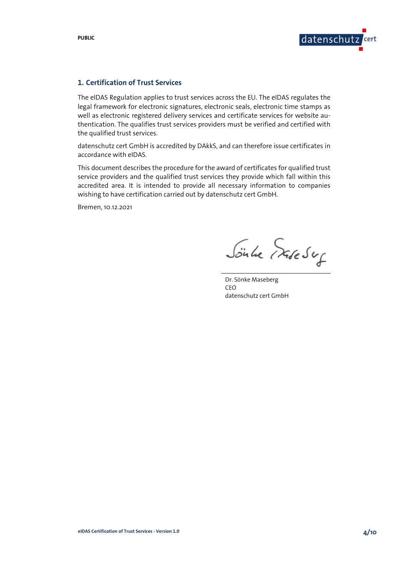

# **1. Certification of Trust Services**

The eIDAS Regulation applies to trust services across the EU. The eIDAS regulates the legal framework for electronic signatures, electronic seals, electronic time stamps as well as electronic registered delivery services and certificate services for website authentication. The qualifies trust services providers must be verified and certified with the qualified trust services.

datenschutz cert GmbH is accredited by DAkkS, and can therefore issue certificates in accordance with eIDAS.

This document describes the procedure for the award of certificates for qualified trust service providers and the qualified trust services they provide which fall within this accredited area. It is intended to provide all necessary information to companies wishing to have certification carried out by datenschutz cert GmbH.

Bremen, 10.12.2021

Sönle Expert

Dr. Sönke Maseberg CEO datenschutz cert GmbH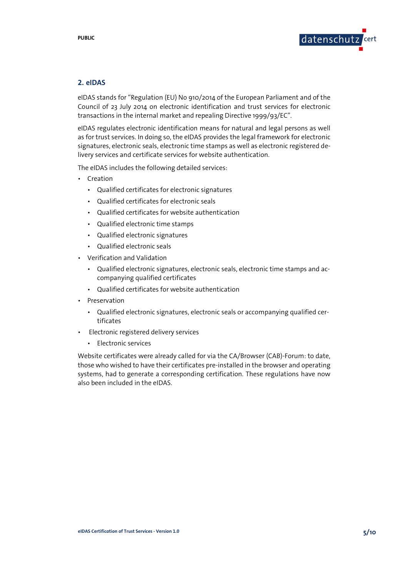

### **2. eIDAS**

eIDAS stands for "Regulation (EU) No 910/2014 of the European Parliament and of the Council of 23 July 2014 on electronic identification and trust services for electronic transactions in the internal market and repealing Directive 1999/93/EC".

eIDAS regulates electronic identification means for natural and legal persons as well as for trust services. In doing so, the eIDAS provides the legal framework for electronic signatures, electronic seals, electronic time stamps as well as electronic registered delivery services and certificate services for website authentication.

The eIDAS includes the following detailed services:

- Creation
	- Qualified certificates for electronic signatures
	- Qualified certificates for electronic seals
	- Qualified certificates for website authentication
	- Qualified electronic time stamps
	- Qualified electronic signatures
	- Qualified electronic seals
- Verification and Validation
	- Qualified electronic signatures, electronic seals, electronic time stamps and accompanying qualified certificates
	- Qualified certificates for website authentication
- Preservation
	- Qualified electronic signatures, electronic seals or accompanying qualified certificates
- Electronic registered delivery services
	- Electronic services

Website certificates were already called for via the CA/Browser (CAB)-Forum: to date, those who wished to have their certificates pre-installed in the browser and operating systems, had to generate a corresponding certification. These regulations have now also been included in the eIDAS.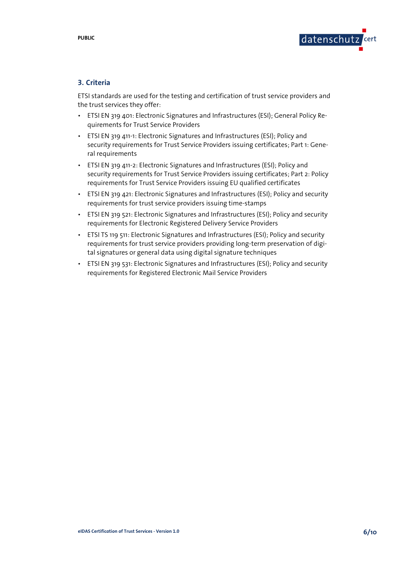

# **3. Criteria**

ETSI standards are used for the testing and certification of trust service providers and the trust services they offer:

- ETSI EN 319 401: Electronic Signatures and Infrastructures (ESI); General Policy Requirements for Trust Service Providers
- ETSI EN 319 411-1: Electronic Signatures and Infrastructures (ESI); Policy and security requirements for Trust Service Providers issuing certificates; Part 1: General requirements
- ETSI EN 319 411-2: Electronic Signatures and Infrastructures (ESI); Policy and security requirements for Trust Service Providers issuing certificates; Part 2: Policy requirements for Trust Service Providers issuing EU qualified certificates
- ETSI EN 319 421: Electronic Signatures and Infrastructures (ESI); Policy and security requirements for trust service providers issuing time-stamps
- ETSI EN 319 521: Electronic Signatures and Infrastructures (ESI); Policy and security requirements for Electronic Registered Delivery Service Providers
- ETSI TS 119 511: Electronic Signatures and Infrastructures (ESI); Policy and security requirements for trust service providers providing long-term preservation of digital signatures or general data using digital signature techniques
- ETSI EN 319 531: Electronic Signatures and Infrastructures (ESI); Policy and security requirements for Registered Electronic Mail Service Providers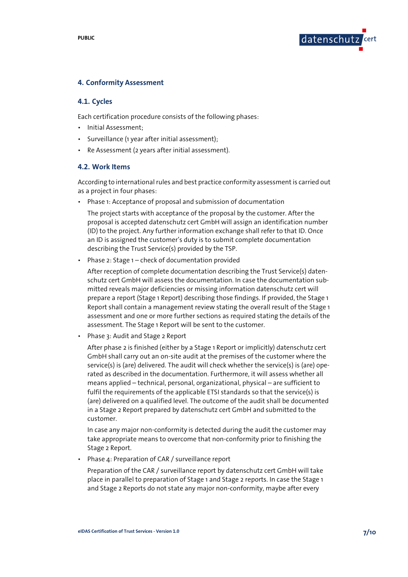

### **4. Conformity Assessment**

#### **4.1. Cycles**

Each certification procedure consists of the following phases:

- Initial Assessment;
- Surveillance (1 year after initial assessment);
- Re Assessment (2 years after initial assessment).

#### **4.2. Work Items**

According to international rules and best practice conformity assessment is carried out as a project in four phases:

• Phase 1: Acceptance of proposal and submission of documentation

The project starts with acceptance of the proposal by the customer. After the proposal is accepted datenschutz cert GmbH will assign an identification number (ID) to the project. Any further information exchange shall refer to that ID. Once an ID is assigned the customer's duty is to submit complete documentation describing the Trust Service(s) provided by the TSP.

Phase 2: Stage 1 – check of documentation provided

After reception of complete documentation describing the Trust Service(s) datenschutz cert GmbH will assess the documentation. In case the documentation submitted reveals major deficiencies or missing information datenschutz cert will prepare a report (Stage 1 Report) describing those findings. If provided, the Stage 1 Report shall contain a management review stating the overall result of the Stage 1 assessment and one or more further sections as required stating the details of the assessment. The Stage 1 Report will be sent to the customer.

• Phase 3: Audit and Stage 2 Report

After phase 2 is finished (either by a Stage 1 Report or implicitly) datenschutz cert GmbH shall carry out an on-site audit at the premises of the customer where the service(s) is (are) delivered. The audit will check whether the service(s) is (are) operated as described in the documentation. Furthermore, it will assess whether all means applied – technical, personal, organizational, physical – are sufficient to fulfil the requirements of the applicable ETSI standards so that the service(s) is (are) delivered on a qualified level. The outcome of the audit shall be documented in a Stage 2 Report prepared by datenschutz cert GmbH and submitted to the customer.

In case any major non-conformity is detected during the audit the customer may take appropriate means to overcome that non-conformity prior to finishing the Stage 2 Report.

• Phase 4: Preparation of CAR / surveillance report

Preparation of the CAR / surveillance report by datenschutz cert GmbH will take place in parallel to preparation of Stage 1 and Stage 2 reports. In case the Stage 1 and Stage 2 Reports do not state any major non-conformity, maybe after every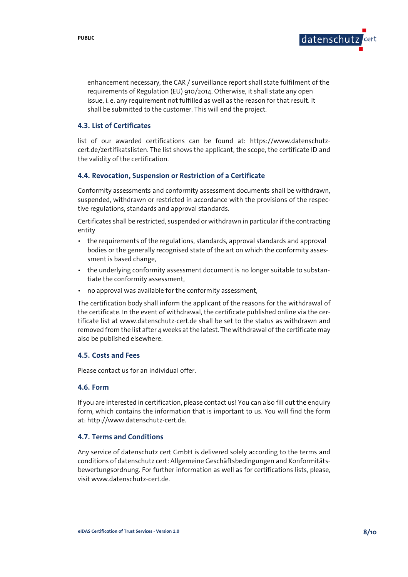

enhancement necessary, the CAR / surveillance report shall state fulfilment of the requirements of Regulation (EU) 910/2014. Otherwise, it shall state any open issue, i. e. any requirement not fulfilled as well as the reason for that result. It shall be submitted to the customer. This will end the project.

### **4.3. List of Certificates**

list of our awarded certifications can be found at: https://www.datenschutzcert.de/zertifikatslisten. The list shows the applicant, the scope, the certificate ID and the validity of the certification.

#### **4.4. Revocation, Suspension or Restriction of a Certificate**

Conformity assessments and conformity assessment documents shall be withdrawn, suspended, withdrawn or restricted in accordance with the provisions of the respective regulations, standards and approval standards.

Certificates shall be restricted, suspended or withdrawn in particular if the contracting entity

- the requirements of the regulations, standards, approval standards and approval bodies or the generally recognised state of the art on which the conformity assessment is based change,
- the underlying conformity assessment document is no longer suitable to substantiate the conformity assessment,
- no approval was available for the conformity assessment,

The certification body shall inform the applicant of the reasons for the withdrawal of the certificate. In the event of withdrawal, the certificate published online via the certificate list at www.datenschutz-cert.de shall be set to the status as withdrawn and removed from the list after 4 weeks at the latest. The withdrawal of the certificate may also be published elsewhere.

#### **4.5. Costs and Fees**

Please contact us for an individual offer.

#### **4.6. Form**

If you are interested in certification, please contact us! You can also fill out the enquiry form, which contains the information that is important to us. You will find the form at: http://www.datenschutz-cert.de.

#### **4.7. Terms and Conditions**

Any service of datenschutz cert GmbH is delivered solely according to the terms and conditions of datenschutz cert: Allgemeine Geschäftsbedingungen and Konformitätsbewertungsordnung. For further information as well as for certifications lists, please, visit www.datenschutz-cert.de.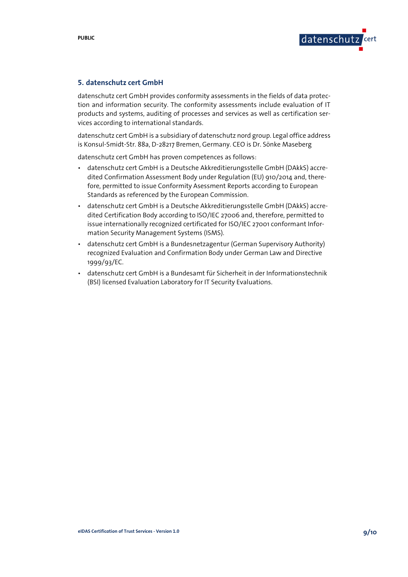

## **5. datenschutz cert GmbH**

datenschutz cert GmbH provides conformity assessments in the fields of data protection and information security. The conformity assessments include evaluation of IT products and systems, auditing of processes and services as well as certification services according to international standards.

datenschutz cert GmbH is a subsidiary of datenschutz nord group. Legal office address is Konsul-Smidt-Str. 88a, D-28217 Bremen, Germany. CEO is Dr. Sönke Maseberg

datenschutz cert GmbH has proven competences as follows:

- datenschutz cert GmbH is a Deutsche Akkreditierungsstelle GmbH (DAkkS) accredited Confirmation Assessment Body under Regulation (EU) 910/2014 and, therefore, permitted to issue Conformity Asessment Reports according to European Standards as referenced by the European Commission.
- datenschutz cert GmbH is a Deutsche Akkreditierungsstelle GmbH (DAkkS) accredited Certification Body according to ISO/IEC 27006 and, therefore, permitted to issue internationally recognized certificated for ISO/IEC 27001 conformant Information Security Management Systems (ISMS).
- datenschutz cert GmbH is a Bundesnetzagentur (German Supervisory Authority) recognized Evaluation and Confirmation Body under German Law and Directive 1999/93/EC.
- datenschutz cert GmbH is a Bundesamt für Sicherheit in der Informationstechnik (BSI) licensed Evaluation Laboratory for IT Security Evaluations.